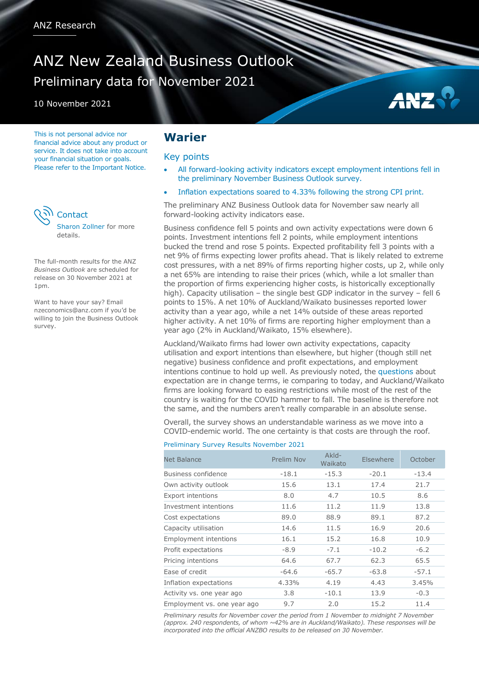# ANZ New Zealand Business Outlook Preliminary data for November 2021

10 November 2021

This is not personal advice nor financial advice about any product or service. It does not take into account your financial situation or goals. Please refer to the Important Notice.



The full-month results for the ANZ *Business Outlook* are scheduled for release on 30 November 2021 at 1pm.

Want to have your say? Email [nzeconomics@anz.com](mailto:nzeconomics@anz.com) if you'd be willing to join the Business Outlook survey.

## **Warier**

#### Key points

 All forward-looking activity indicators except employment intentions fell in the preliminary November Business Outlook survey.

AN<sub>2</sub>

Inflation expectations soared to 4.33% following the strong CPI print.

The preliminary ANZ Business Outlook data for November saw nearly all forward-looking activity indicators ease.

Business confidence fell 5 points and own activity expectations were down 6 points. Investment intentions fell 2 points, while employment intentions bucked the trend and rose 5 points. Expected profitability fell 3 points with a net 9% of firms expecting lower profits ahead. That is likely related to extreme cost pressures, with a net 89% of firms reporting higher costs, up 2, while only a net 65% are intending to raise their prices (which, while a lot smaller than the proportion of firms experiencing higher costs, is historically exceptionally high). Capacity utilisation – the single best GDP indicator in the survey – fell 6 points to 15%. A net 10% of Auckland/Waikato businesses reported lower activity than a year ago, while a net 14% outside of these areas reported higher activity. A net 10% of firms are reporting higher employment than a year ago (2% in Auckland/Waikato, 15% elsewhere).

Auckland/Waikato firms had lower own activity expectations, capacity utilisation and export intentions than elsewhere, but higher (though still net negative) business confidence and profit expectations, and employment intentions continue to hold up well. As previously noted, the [questions](https://www.anz.co.nz/content/dam/anzconz/documents/economics-and-market-research/anz-business-outlook-questionnaire.pdf) about expectation are in change terms, ie comparing to today, and Auckland/Waikato firms are looking forward to easing restrictions while most of the rest of the country is waiting for the COVID hammer to fall. The baseline is therefore not the same, and the numbers aren't really comparable in an absolute sense.

Overall, the survey shows an understandable wariness as we move into a COVID-endemic world. The one certainty is that costs are through the roof.

#### Preliminary Survey Results November 2021

| Net Balance                  | Prelim Nov | Akld-<br>Waikato | Elsewhere | October |
|------------------------------|------------|------------------|-----------|---------|
| Business confidence          | $-18.1$    | $-15.3$          | $-20.1$   | $-13.4$ |
| Own activity outlook         | 15.6       | 13.1             | 17.4      | 21.7    |
| <b>Export intentions</b>     | 8.0        | 4.7              | 10.5      | 8.6     |
| Investment intentions        | 11.6       | 11.2             | 11.9      | 13.8    |
| Cost expectations            | 89.0       | 88.9             | 89.1      | 87.2    |
| Capacity utilisation         | 14.6       | 11.5             | 16.9      | 20.6    |
| <b>Employment intentions</b> | 16.1       | 15.2             | 16.8      | 10.9    |
| Profit expectations          | $-8.9$     | $-7.1$           | $-10.2$   | $-6.2$  |
| Pricing intentions           | 64.6       | 67.7             | 62.3      | 65.5    |
| Ease of credit               | $-64.6$    | $-65.7$          | $-63.8$   | $-57.1$ |
| Inflation expectations       | 4.33%      | 4.19             | 4.43      | 3.45%   |
| Activity vs. one year ago    | 3.8        | $-10.1$          | 13.9      | $-0.3$  |
| Employment vs. one year ago  | 9.7        | 2.0              | 15.2      | 11.4    |

*Preliminary results for November cover the period from 1 November to midnight 7 November (approx. 240 respondents, of whom ~42% are in Auckland/Waikato). These responses will be incorporated into the official ANZBO results to be released on 30 November.*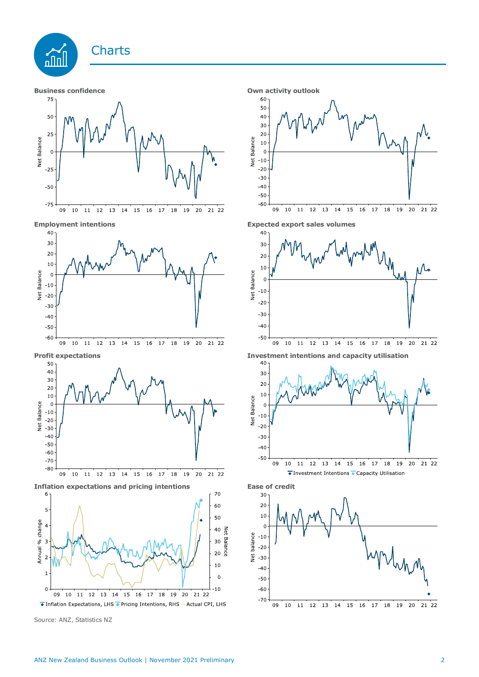

Source: ANZ, Statistics NZ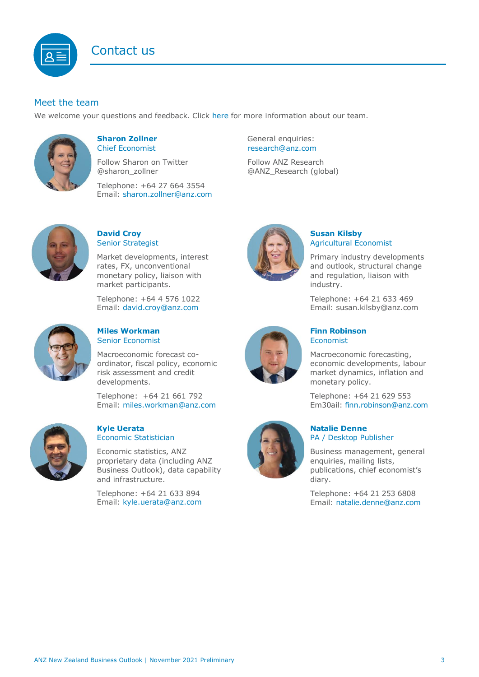

## Meet the team

We welcome your questions and feedback. Click [here](https://www.anz.co.nz/about-us/economic-markets-research/economics-research-team/) for more information about our team.



#### **Sharon Zollner** Chief Economist

Follow Sharon on Twitter @sharon\_zollner

Telephone: +64 27 664 3554 Email: [sharon.zollner@anz.com](mailto:sharon.zollner@anz.com) General enquiries: [research@anz.com](mailto:research@anz.com)

Follow ANZ Research @ANZ\_Research (global)



## **David Croy** Senior Strategist

Market developments, interest rates, FX, unconventional monetary policy, liaison with market participants.

Telephone: +64 4 576 1022 Email: [david.croy@anz.com](mailto:david.croy@anz.com)



## **Miles Workman**  Senior Economist

Macroeconomic forecast coordinator, fiscal policy, economic risk assessment and credit developments.

Telephone: +64 21 661 792 Email: [miles.workman@anz.com](mailto:miles.workman@anz.com)



#### **Kyle Uerata** Economic Statistician

Economic statistics, ANZ proprietary data (including ANZ Business Outlook), data capability and infrastructure.

Telephone: +64 21 633 894 Email: [kyle.uerata@anz.com](mailto:Kyle.Uerata@anz.com)



## **Susan Kilsby** Agricultural Economist

Primary industry developments and outlook, structural change and regulation, liaison with industry.

Telephone: +64 21 633 469 Email: [susan.kilsby@anz.com](mailto:susan.kilsby@anz.com)



## **Finn Robinson** Economist

Macroeconomic forecasting, economic developments, labour market dynamics, inflation and monetary policy.

Telephone: +64 21 629 553 Em30ail: [finn.robinson@anz.com](mailto:finn.robinson@anz.com)

#### **Natalie Denne** PA / Desktop Publisher

Business management, general enquiries, mailing lists, publications, chief economist's diary.

Telephone: +64 21 253 6808 Email: [natalie.denne@anz.com](mailto:natalie.denne@anz.com)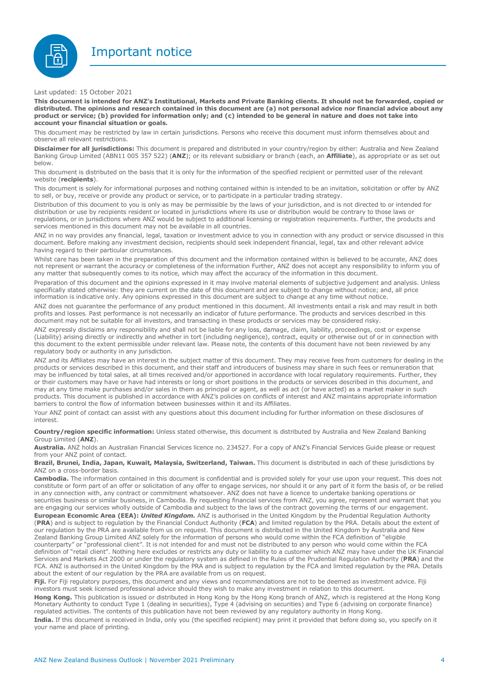



Last updated: 15 October 2021

This document is intended for ANZ's Institutional, Markets and Private Banking clients. It should not be forwarded, copied or distributed. The opinions and research contained in this document are (a) not personal advice nor financial advice about any product or service; (b) provided for information only; and (c) intended to be general in nature and does not take into **account your financial situation or goals.**

This document may be restricted by law in certain jurisdictions. Persons who receive this document must inform themselves about and observe all relevant restrictions.

**Disclaimer for all jurisdictions:** This document is prepared and distributed in your country/region by either: Australia and New Zealand Banking Group Limited (ABN11 005 357 522) (**ANZ**); or its relevant subsidiary or branch (each, an **Affiliate**), as appropriate or as set out below.

This document is distributed on the basis that it is only for the information of the specified recipient or permitted user of the relevant website (**recipients**).

This document is solely for informational purposes and nothing contained within is intended to be an invitation, solicitation or offer by ANZ to sell, or buy, receive or provide any product or service, or to participate in a particular trading strategy.

Distribution of this document to you is only as may be permissible by the laws of your jurisdiction, and is not directed to or intended for distribution or use by recipients resident or located in jurisdictions where its use or distribution would be contrary to those laws or regulations, or in jurisdictions where ANZ would be subject to additional licensing or registration requirements. Further, the products and services mentioned in this document may not be available in all countries.

ANZ in no way provides any financial, legal, taxation or investment advice to you in connection with any product or service discussed in this document. Before making any investment decision, recipients should seek independent financial, legal, tax and other relevant advice having regard to their particular circumstances.

Whilst care has been taken in the preparation of this document and the information contained within is believed to be accurate, ANZ does not represent or warrant the accuracy or completeness of the information Further, ANZ does not accept any responsibility to inform you of any matter that subsequently comes to its notice, which may affect the accuracy of the information in this document.

Preparation of this document and the opinions expressed in it may involve material elements of subjective judgement and analysis. Unless specifically stated otherwise: they are current on the date of this document and are subject to change without notice; and, all price information is indicative only. Any opinions expressed in this document are subject to change at any time without notice.

ANZ does not guarantee the performance of any product mentioned in this document. All investments entail a risk and may result in both profits and losses. Past performance is not necessarily an indicator of future performance. The products and services described in this document may not be suitable for all investors, and transacting in these products or services may be considered risky.

ANZ expressly disclaims any responsibility and shall not be liable for any loss, damage, claim, liability, proceedings, cost or expense (Liability) arising directly or indirectly and whether in tort (including negligence), contract, equity or otherwise out of or in connection with this document to the extent permissible under relevant law. Please note, the contents of this document have not been reviewed by any regulatory body or authority in any jurisdiction.

ANZ and its Affiliates may have an interest in the subject matter of this document. They may receive fees from customers for dealing in the products or services described in this document, and their staff and introducers of business may share in such fees or remuneration that may be influenced by total sales, at all times received and/or apportioned in accordance with local regulatory requirements. Further, they or their customers may have or have had interests or long or short positions in the products or services described in this document, and may at any time make purchases and/or sales in them as principal or agent, as well as act (or have acted) as a market maker in such products. This document is published in accordance with ANZ's policies on conflicts of interest and ANZ maintains appropriate information barriers to control the flow of information between businesses within it and its Affiliates.

Your ANZ point of contact can assist with any questions about this document including for further information on these disclosures of interest.

**Country/region specific information:** Unless stated otherwise, this document is distributed by Australia and New Zealand Banking Group Limited (**ANZ**).

**Australia.** ANZ holds an Australian Financial Services licence no. 234527. For a copy of ANZ's Financial Services Guide please or request from your ANZ point of contact.

**Brazil, Brunei, India, Japan, Kuwait, Malaysia, Switzerland, Taiwan.** This document is distributed in each of these jurisdictions by ANZ on a cross-border basis.

**Cambodia.** The information contained in this document is confidential and is provided solely for your use upon your request. This does not constitute or form part of an offer or solicitation of any offer to engage services, nor should it or any part of it form the basis of, or be relied in any connection with, any contract or commitment whatsoever. ANZ does not have a licence to undertake banking operations or securities business or similar business, in Cambodia. By requesting financial services from ANZ, you agree, represent and warrant that you are engaging our services wholly outside of Cambodia and subject to the laws of the contract governing the terms of our engagement. **European Economic Area (EEA):** *United Kingdom.* ANZ is authorised in the United Kingdom by the Prudential Regulation Authority (**PRA**) and is subject to regulation by the Financial Conduct Authority (**FCA**) and limited regulation by the PRA. Details about the extent of our regulation by the PRA are available from us on request. This document is distributed in the United Kingdom by Australia and New Zealand Banking Group Limited ANZ solely for the information of persons who would come within the FCA definition of "eligible counterparty" or "professional client". It is not intended for and must not be distributed to any person who would come within the FCA definition of "retail client". Nothing here excludes or restricts any duty or liability to a customer which ANZ may have under the UK Financial Services and Markets Act 2000 or under the regulatory system as defined in the Rules of the Prudential Regulation Authority (**PRA**) and the FCA. ANZ is authorised in the United Kingdom by the PRA and is subject to regulation by the FCA and limited regulation by the PRA. Details about the extent of our regulation by the PRA are available from us on request.

**Fiji.** For Fiji regulatory purposes, this document and any views and recommendations are not to be deemed as investment advice. Fiji investors must seek licensed professional advice should they wish to make any investment in relation to this document.

**Hong Kong.** This publication is issued or distributed in Hong Kong by the Hong Kong branch of ANZ, which is registered at the Hong Kong Monetary Authority to conduct Type 1 (dealing in securities), Type 4 (advising on securities) and Type 6 (advising on corporate finance) regulated activities. The contents of this publication have not been reviewed by any regulatory authority in Hong Kong.

**India.** If this document is received in India, only you (the specified recipient) may print it provided that before doing so, you specify on it your name and place of printing.